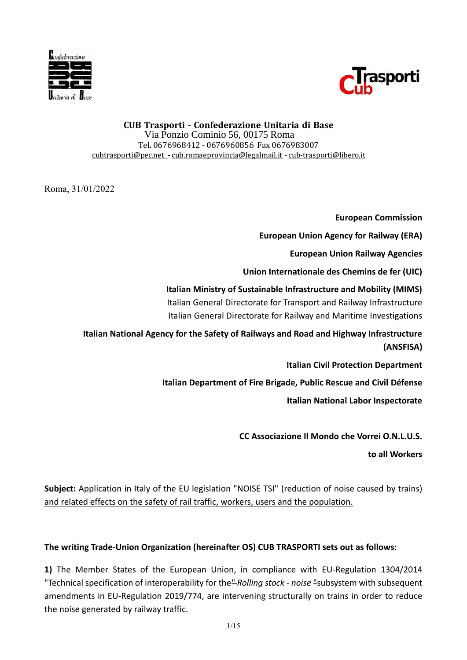



Via Ponzio Cominio 56, 00175 Roma Tel. 0676968412 - 0676960856 Fax 0676983007 cubtrasporti@pec.net - cub.romaeprovincia@legalmail.it - cub-trasporti@libero.it

Roma, 31/01/2022

**European Commission**

**European Union Agency for Railway (ERA)**

**European Union Railway Agencies**

**Union Internationale des Chemins de fer (UIC)**

**Italian Ministry of Sustainable Infrastructure and Mobility (MIMS)** Italian General Directorate for Transport and Railway Infrastructure Italian General Directorate for Railway and Maritime Investigations

**Italian National Agency for the Safety of Railways and Road and Highway Infrastructure (ANSFISA)**

**Italian Civil Protection Department**

**Italian Department of Fire Brigade, Public Rescue and Civil Défense**

**Italian National Labor Inspectorate**

**CC Associazione Il Mondo che Vorrei O.N.L.U.S.**

**to all Workers**

**Subject:** Application in Italy of the EU legislation "NOISE TSI" (reduction of noise caused by trains) and related effects on the safety of rail traffic, workers, users and the population.

**The writing Trade-Union Organization (hereinafter OS) CUB TRASPORTI sets out as follows:**

**1)** The Member States of the European Union, in compliance with EU-Regulation 1304/2014 "Technical specification of interoperability for the" *Rolling stock - noise* "subsystem with subsequent amendments in EU-Regulation 2019/774, are intervening structurally on trains in order to reduce CUB Trasportic - Confederazione Chitaria di Base<br>Traffic. Alexandron Chitaria di Base<br>Traffic. Alexandron: The noise general of the noise generated by the substantial confederation<br>and Transport Confederation (The noise pe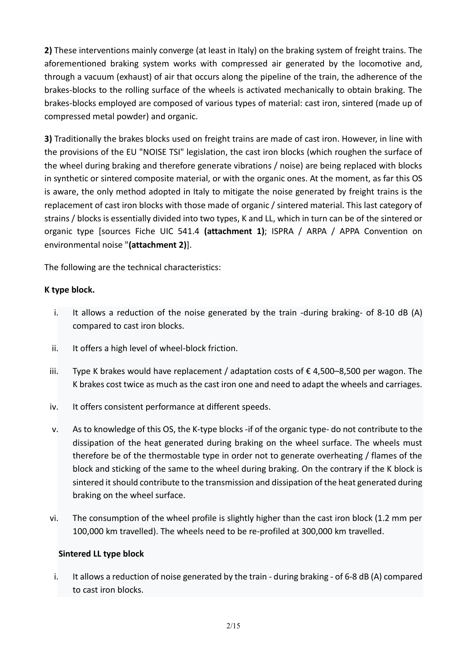**2)** These interventions mainly converge (at least in Italy) on the braking system of freight trains. The aforementioned braking system works with compressed air generated by the locomotive and, through a vacuum (exhaust) of air that occurs along the pipeline of the train, the adherence of the brakes-blocks to the rolling surface of the wheels is activated mechanically to obtain braking. The brakes-blocks employed are composed of various types of material: cast iron, sintered (made up of compressed metal powder) and organic.

**3)** Traditionally the brakes blocks used on freight trains are made of cast iron. However, in line with the provisions of the EU "NOISE TSI" legislation, the cast iron blocks (which roughen the surface of the wheel during braking and therefore generate vibrations / noise) are being replaced with blocks in synthetic or sintered composite material, or with the organic ones. At the moment, as far this OS is aware, the only method adopted in Italy to mitigate the noise generated by freight trains is the replacement of cast iron blocks with those made of organic / sintered material. This last category of strains / blocks is essentially divided into two types, K and LL, which in turn can be of the sintered or organic type [sources Fiche UIC 541.4 **(attachment 1)**; ISPRA / ARPA / APPA Convention on environmental noise "**(attachment 2)**].

The following are the technical characteristics:

## **K type block.**

- i. It allows a reduction of the noise generated by the train -during braking- of 8-10 dB (A) compared to cast iron blocks.
- ii. It offers a high level of wheel-block friction.
- iii. Type K brakes would have replacement / adaptation costs of €4,500–8,500 per wagon. The K brakes cost twice as much as the cast iron one and need to adapt the wheels and carriages.
- iv. It offers consistent performance at different speeds.
- v. As to knowledge of this OS, the K-type blocks -if of the organic type- do not contribute to the dissipation of the heat generated during braking on the wheel surface. The wheels must therefore be of the thermostable type in order not to generate overheating / flames of the block and sticking of the same to the wheel during braking. On the contrary if the K block is sintered it should contribute to the transmission and dissipation of the heat generated during braking on the wheel surface.
- vi. The consumption of the wheel profile is slightly higher than the cast iron block (1.2 mm per 100,000 km travelled). The wheels need to be re-profiled at 300,000 km travelled.

### **Sintered LL type block**

i. It allows a reduction of noise generated by the train - during braking - of 6-8 dB (A) compared to cast iron blocks.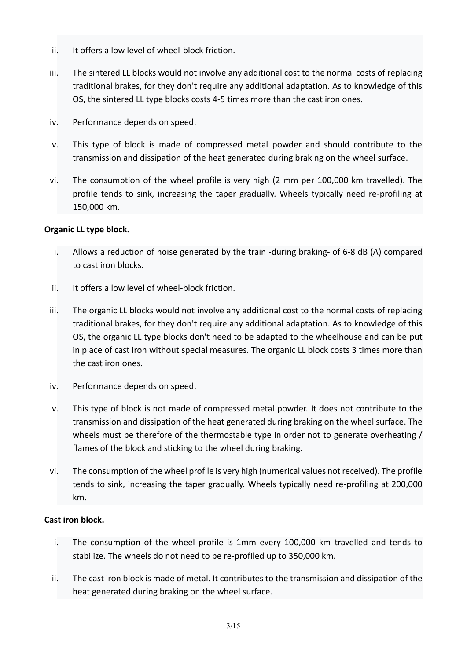- ii. It offers a low level of wheel-block friction.
- iii. The sintered LL blocks would not involve any additional cost to the normal costs of replacing traditional brakes, for they don't require any additional adaptation. As to knowledge of this OS, the sintered LL type blocks costs 4-5 times more than the cast iron ones.
- iv. Performance depends on speed.
- v. This type of block is made of compressed metal powder and should contribute to the transmission and dissipation of the heat generated during braking on the wheel surface.
- vi. The consumption of the wheel profile is very high (2 mm per 100,000 km travelled). The profile tends to sink, increasing the taper gradually. Wheels typically need re-profiling at 150,000 km.

### **Organic LL type block.**

- i. Allows a reduction of noise generated by the train -during braking- of 6-8 dB (A) compared to cast iron blocks.
- ii. It offers a low level of wheel-block friction.
- iii. The organic LL blocks would not involve any additional cost to the normal costs of replacing traditional brakes, for they don't require any additional adaptation. As to knowledge of this OS, the organic LL type blocks don't need to be adapted to the wheelhouse and can be put in place of cast iron without special measures. The organic LL block costs 3 times more than the cast iron ones.
- iv. Performance depends on speed.
- v. This type of block is not made of compressed metal powder. It does not contribute to the transmission and dissipation of the heat generated during braking on the wheel surface. The wheels must be therefore of the thermostable type in order not to generate overheating / flames of the block and sticking to the wheel during braking.
- vi. The consumption of the wheel profile is very high (numerical values not received). The profile tends to sink, increasing the taper gradually. Wheels typically need re-profiling at 200,000 km.

### **Cast iron block.**

- i. The consumption of the wheel profile is 1mm every 100,000 km travelled and tends to stabilize. The wheels do not need to be re-profiled up to 350,000 km.
- ii. The cast iron block is made of metal. It contributes to the transmission and dissipation of the heat generated during braking on the wheel surface.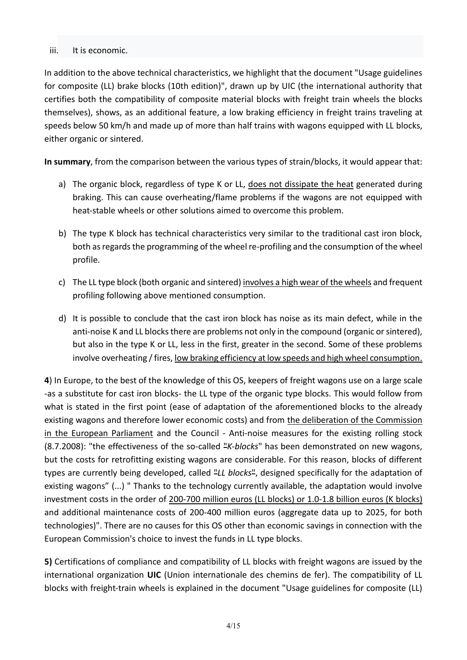#### iii. It is economic.

In addition to the above technical characteristics, we highlight that the document "Usage guidelines for composite (LL) brake blocks (10th edition)", drawn up by UIC (the international authority that certifies both the compatibility of composite material blocks with freight train wheels the blocks themselves), shows, as an additional feature, a low braking efficiency in freight trains traveling at speeds below 50 km/h and made up of more than half trains with wagons equipped with LL blocks, either organic or sintered.

**In summary**, from the comparison between the various types of strain/blocks, it would appear that:

- a) The organic block, regardless of type K or LL, does not dissipate the heat generated during braking. This can cause overheating/flame problems if the wagons are not equipped with heat-stable wheels or other solutions aimed to overcome this problem.
- b) The type K block has technical characteristics very similar to the traditional cast iron block, both as regards the programming of the wheel re-profiling and the consumption of the wheel profile.
- c) The LL type block (both organic and sintered) involves a high wear of the wheels and frequent profiling following above mentioned consumption.
- d) It is possible to conclude that the cast iron block has noise as its main defect, while in the anti-noise K and LL blocks there are problems not only in the compound (organic or sintered), but also in the type K or LL, less in the first, greater in the second. Some of these problems involve overheating / fires, low braking efficiency at low speeds and high wheel consumption.

**4**) In Europe, to the best of the knowledge of this OS, keepers of freight wagons use on a large scale -as a substitute for cast iron blocks- the LL type of the organic type blocks. This would follow from what is stated in the first point (ease of adaptation of the aforementioned blocks to the already existing wagons and therefore lower economic costs) and from the deliberation of the Commission in the European Parliament and the Council - Anti-noise measures for the existing rolling stock (8.7.2008): "the effectiveness of the so-called "*K-blocks*" has been demonstrated on new wagons, but the costs for retrofitting existing wagons are considerable. For this reason, blocks of different types are currently being developed, called "*LL blocks*", designed specifically for the adaptation of existing wagons" (...) " Thanks to the technology currently available, the adaptation would involve investment costs in the order of 200-700 million euros (LL blocks) or 1.0-1.8 billion euros (K blocks) and additional maintenance costs of 200-400 million euros (aggregate data up to 2025, for both technologies)". There are no causes for this OS other than economic savings in connection with the European Commission's choice to invest the funds in LL type blocks.

**5)** Certifications of compliance and compatibility of LL blocks with freight wagons are issued by the international organization **UIC** (Union internationale des chemins de fer). The compatibility of LL blocks with freight-train wheels is explained in the document "Usage guidelines for composite (LL)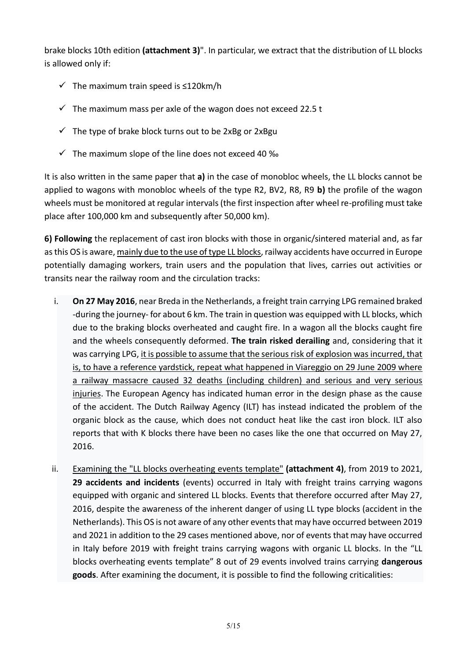brake blocks 10th edition **(attachment 3)**". In particular, we extract that the distribution of LL blocks is allowed only if:

- ✓ The maximum train speed is ≤120km/h
- $\checkmark$  The maximum mass per axle of the wagon does not exceed 22.5 t
- $\checkmark$  The type of brake block turns out to be 2xBg or 2xBgu
- $\checkmark$  The maximum slope of the line does not exceed 40 ‰

It is also written in the same paper that **a)** in the case of monobloc wheels, the LL blocks cannot be applied to wagons with monobloc wheels of the type R2, BV2, R8, R9 **b)** the profile of the wagon wheels must be monitored at regular intervals (the first inspection after wheel re-profiling must take place after 100,000 km and subsequently after 50,000 km).

**6) Following** the replacement of cast iron blocks with those in organic/sintered material and, as far as this OS is aware, mainly due to the use of type LL blocks, railway accidents have occurred in Europe potentially damaging workers, train users and the population that lives, carries out activities or transits near the railway room and the circulation tracks:

- i. **On 27 May 2016**, near Breda in the Netherlands, a freight train carrying LPG remained braked -during the journey- for about 6 km. The train in question was equipped with LL blocks, which due to the braking blocks overheated and caught fire. In a wagon all the blocks caught fire and the wheels consequently deformed. **The train risked derailing** and, considering that it was carrying LPG, it is possible to assume that the serious risk of explosion was incurred, that is, to have a reference yardstick, repeat what happened in Viareggio on 29 June 2009 where a railway massacre caused 32 deaths (including children) and serious and very serious injuries. The European Agency has indicated human error in the design phase as the cause of the accident. The Dutch Railway Agency (ILT) has instead indicated the problem of the organic block as the cause, which does not conduct heat like the cast iron block. ILT also reports that with K blocks there have been no cases like the one that occurred on May 27, 2016.
- ii. Examining the "LL blocks overheating events template" **(attachment 4)**, from 2019 to 2021, **29 accidents and incidents** (events) occurred in Italy with freight trains carrying wagons equipped with organic and sintered LL blocks. Events that therefore occurred after May 27, 2016, despite the awareness of the inherent danger of using LL type blocks (accident in the Netherlands). This OS is not aware of any other events that may have occurred between 2019 and 2021 in addition to the 29 cases mentioned above, nor of events that may have occurred in Italy before 2019 with freight trains carrying wagons with organic LL blocks. In the "LL blocks overheating events template" 8 out of 29 events involved trains carrying **dangerous goods**. After examining the document, it is possible to find the following criticalities: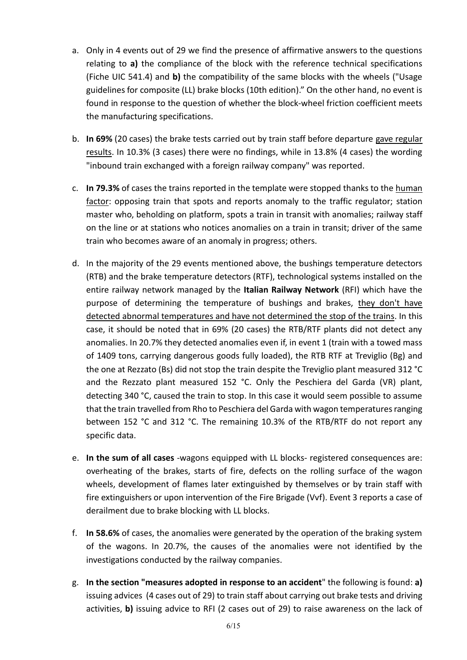- a. Only in 4 events out of 29 we find the presence of affirmative answers to the questions relating to **a)** the compliance of the block with the reference technical specifications (Fiche UIC 541.4) and **b)** the compatibility of the same blocks with the wheels ("Usage guidelines for composite (LL) brake blocks (10th edition)." On the other hand, no event is found in response to the question of whether the block-wheel friction coefficient meets the manufacturing specifications.
- b. **In 69%** (20 cases) the brake tests carried out by train staff before departure gave regular results. In 10.3% (3 cases) there were no findings, while in 13.8% (4 cases) the wording "inbound train exchanged with a foreign railway company" was reported.
- c. **In 79.3%** of cases the trains reported in the template were stopped thanks to the human factor: opposing train that spots and reports anomaly to the traffic regulator; station master who, beholding on platform, spots a train in transit with anomalies; railway staff on the line or at stations who notices anomalies on a train in transit; driver of the same train who becomes aware of an anomaly in progress; others.
- d. In the majority of the 29 events mentioned above, the bushings temperature detectors (RTB) and the brake temperature detectors (RTF), technological systems installed on the entire railway network managed by the **Italian Railway Network** (RFI) which have the purpose of determining the temperature of bushings and brakes, they don't have detected abnormal temperatures and have not determined the stop of the trains. In this case, it should be noted that in 69% (20 cases) the RTB/RTF plants did not detect any anomalies. In 20.7% they detected anomalies even if, in event 1 (train with a towed mass of 1409 tons, carrying dangerous goods fully loaded), the RTB RTF at Treviglio (Bg) and the one at Rezzato (Bs) did not stop the train despite the Treviglio plant measured 312 °C and the Rezzato plant measured 152 °C. Only the Peschiera del Garda (VR) plant, detecting 340 °C, caused the train to stop. In this case it would seem possible to assume that the train travelled from Rho to Peschiera del Garda with wagon temperatures ranging between 152 °C and 312 °C. The remaining 10.3% of the RTB/RTF do not report any specific data.
- e. **In the sum of all cases** -wagons equipped with LL blocks- registered consequences are: overheating of the brakes, starts of fire, defects on the rolling surface of the wagon wheels, development of flames later extinguished by themselves or by train staff with fire extinguishers or upon intervention of the Fire Brigade (Vvf). Event 3 reports a case of derailment due to brake blocking with LL blocks.
- f. **In 58.6%** of cases, the anomalies were generated by the operation of the braking system of the wagons. In 20.7%, the causes of the anomalies were not identified by the investigations conducted by the railway companies.
- g. **In the section "measures adopted in response to an accident**" the following is found: **a)** issuing advices (4 cases out of 29) to train staff about carrying out brake tests and driving activities, **b)** issuing advice to RFI (2 cases out of 29) to raise awareness on the lack of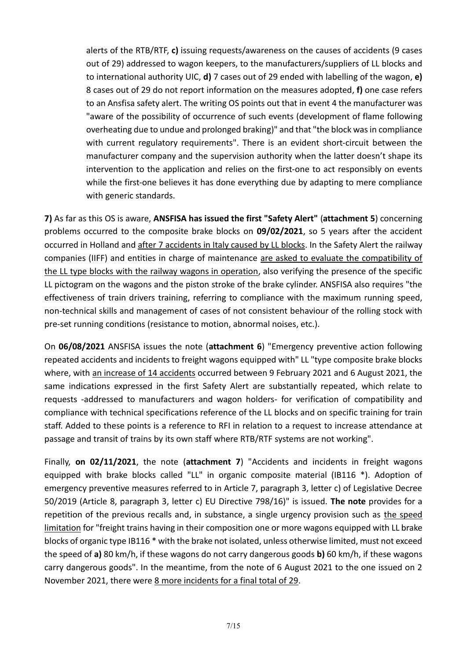alerts of the RTB/RTF, **c)** issuing requests/awareness on the causes of accidents (9 cases out of 29) addressed to wagon keepers, to the manufacturers/suppliers of LL blocks and to international authority UIC, **d)** 7 cases out of 29 ended with labelling of the wagon, **e)** 8 cases out of 29 do not report information on the measures adopted, **f)** one case refers to an Ansfisa safety alert. The writing OS points out that in event 4 the manufacturer was "aware of the possibility of occurrence of such events (development of flame following overheating due to undue and prolonged braking)" and that "the block was in compliance with current regulatory requirements". There is an evident short-circuit between the manufacturer company and the supervision authority when the latter doesn't shape its intervention to the application and relies on the first-one to act responsibly on events while the first-one believes it has done everything due by adapting to mere compliance with generic standards.

**7)** As far as this OS is aware, **ANSFISA has issued the first "Safety Alert"** (**attachment 5**) concerning problems occurred to the composite brake blocks on **09/02/2021**, so 5 years after the accident occurred in Holland and after 7 accidents in Italy caused by LL blocks. In the Safety Alert the railway companies (IIFF) and entities in charge of maintenance are asked to evaluate the compatibility of the LL type blocks with the railway wagons in operation, also verifying the presence of the specific LL pictogram on the wagons and the piston stroke of the brake cylinder. ANSFISA also requires "the effectiveness of train drivers training, referring to compliance with the maximum running speed, non-technical skills and management of cases of not consistent behaviour of the rolling stock with pre-set running conditions (resistance to motion, abnormal noises, etc.).

On **06/08/2021** ANSFISA issues the note (**attachment 6**) "Emergency preventive action following repeated accidents and incidents to freight wagons equipped with" LL "type composite brake blocks where, with an increase of 14 accidents occurred between 9 February 2021 and 6 August 2021, the same indications expressed in the first Safety Alert are substantially repeated, which relate to requests -addressed to manufacturers and wagon holders- for verification of compatibility and compliance with technical specifications reference of the LL blocks and on specific training for train staff. Added to these points is a reference to RFI in relation to a request to increase attendance at passage and transit of trains by its own staff where RTB/RTF systems are not working".

Finally, **on 02/11/2021**, the note (**attachment 7**) "Accidents and incidents in freight wagons equipped with brake blocks called "LL" in organic composite material (IB116 \*). Adoption of emergency preventive measures referred to in Article 7, paragraph 3, letter c) of Legislative Decree 50/2019 (Article 8, paragraph 3, letter c) EU Directive 798/16)" is issued. **The note** provides for a repetition of the previous recalls and, in substance, a single urgency provision such as the speed limitation for "freight trains having in their composition one or more wagons equipped with LL brake blocks of organic type IB116 \* with the brake not isolated, unless otherwise limited, must not exceed the speed of **a)** 80 km/h, if these wagons do not carry dangerous goods **b)** 60 km/h, if these wagons carry dangerous goods". In the meantime, from the note of 6 August 2021 to the one issued on 2 November 2021, there were 8 more incidents for a final total of 29.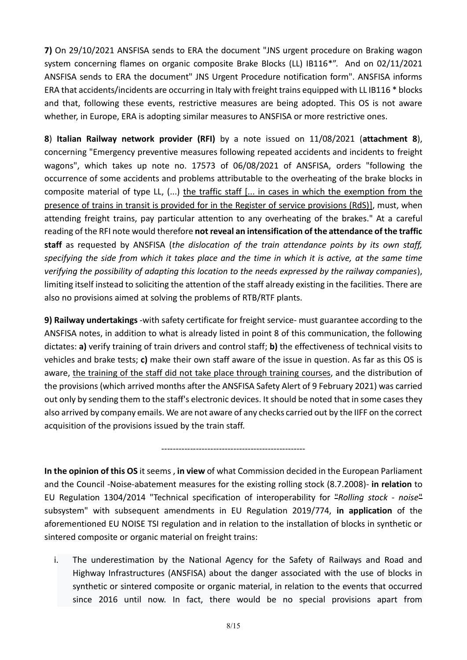**7)** On 29/10/2021 ANSFISA sends to ERA the document "JNS urgent procedure on Braking wagon system concerning flames on organic composite Brake Blocks (LL) IB116\*". And on 02/11/2021 ANSFISA sends to ERA the document" JNS Urgent Procedure notification form". ANSFISA informs ERA that accidents/incidents are occurring in Italy with freight trains equipped with LL IB116 \* blocks and that, following these events, restrictive measures are being adopted. This OS is not aware whether, in Europe, ERA is adopting similar measures to ANSFISA or more restrictive ones.

**8**) **Italian Railway network provider (RFI)** by a note issued on 11/08/2021 (**attachment 8**), concerning "Emergency preventive measures following repeated accidents and incidents to freight wagons", which takes up note no. 17573 of 06/08/2021 of ANSFISA, orders "following the occurrence of some accidents and problems attributable to the overheating of the brake blocks in composite material of type LL, (...) the traffic staff [... in cases in which the exemption from the presence of trains in transit is provided for in the Register of service provisions (RdS)], must, when attending freight trains, pay particular attention to any overheating of the brakes." At a careful reading of the RFI note would therefore **not reveal an intensification of the attendance of the traffic staff** as requested by ANSFISA (*the dislocation of the train attendance points by its own staff, specifying the side from which it takes place and the time in which it is active, at the same time verifying the possibility of adapting this location to the needs expressed by the railway companies*), limiting itself instead to soliciting the attention of the staff already existing in the facilities. There are also no provisions aimed at solving the problems of RTB/RTF plants.

**9) Railway undertakings** -with safety certificate for freight service- must guarantee according to the ANSFISA notes, in addition to what is already listed in point 8 of this communication, the following dictates: **a)** verify training of train drivers and control staff; **b)** the effectiveness of technical visits to vehicles and brake tests; **c)** make their own staff aware of the issue in question. As far as this OS is aware, the training of the staff did not take place through training courses, and the distribution of the provisions (which arrived months after the ANSFISA Safety Alert of 9 February 2021) was carried out only by sending them to the staff's electronic devices. It should be noted that in some cases they also arrived by company emails. We are not aware of any checks carried out by the IIFF on the correct acquisition of the provisions issued by the train staff.

**In the opinion of this OS** it seems , **in view** of what Commission decided in the European Parliament and the Council -Noise-abatement measures for the existing rolling stock (8.7.2008)- **in relation** to EU Regulation 1304/2014 "Technical specification of interoperability for "*Rolling stock - noise*" subsystem" with subsequent amendments in EU Regulation 2019/774, **in application** of the aforementioned EU NOISE TSI regulation and in relation to the installation of blocks in synthetic or sintered composite or organic material on freight trains:

--------------------------------------------------

i. The underestimation by the National Agency for the Safety of Railways and Road and Highway Infrastructures (ANSFISA) about the danger associated with the use of blocks in synthetic or sintered composite or organic material, in relation to the events that occurred since 2016 until now. In fact, there would be no special provisions apart from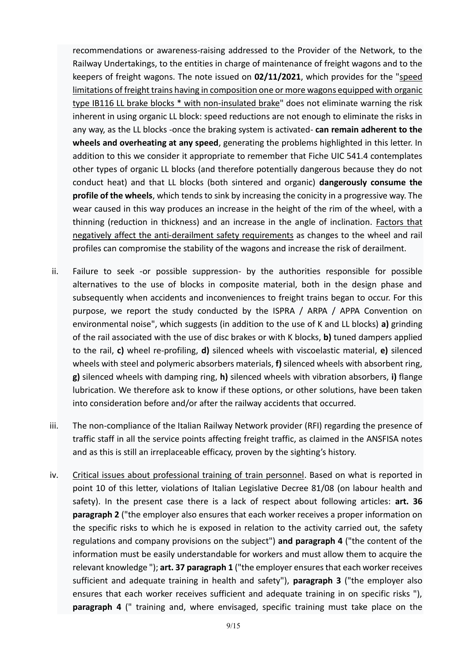recommendations or awareness-raising addressed to the Provider of the Network, to the Railway Undertakings, to the entities in charge of maintenance of freight wagons and to the keepers of freight wagons. The note issued on **02/11/2021**, which provides for the "speed limitations of freight trains having in composition one or more wagons equipped with organic type IB116 LL brake blocks \* with non-insulated brake" does not eliminate warning the risk inherent in using organic LL block: speed reductions are not enough to eliminate the risks in any way, as the LL blocks -once the braking system is activated- **can remain adherent to the wheels and overheating at any speed**, generating the problems highlighted in this letter. In addition to this we consider it appropriate to remember that Fiche UIC 541.4 contemplates other types of organic LL blocks (and therefore potentially dangerous because they do not conduct heat) and that LL blocks (both sintered and organic) **dangerously consume the profile of the wheels**, which tends to sink by increasing the conicity in a progressive way. The wear caused in this way produces an increase in the height of the rim of the wheel, with a thinning (reduction in thickness) and an increase in the angle of inclination. Factors that negatively affect the anti-derailment safety requirements as changes to the wheel and rail profiles can compromise the stability of the wagons and increase the risk of derailment.

- ii. Failure to seek -or possible suppression- by the authorities responsible for possible alternatives to the use of blocks in composite material, both in the design phase and subsequently when accidents and inconveniences to freight trains began to occur. For this purpose, we report the study conducted by the ISPRA / ARPA / APPA Convention on environmental noise", which suggests (in addition to the use of K and LL blocks) **a)** grinding of the rail associated with the use of disc brakes or with K blocks, **b)** tuned dampers applied to the rail, **c)** wheel re-profiling, **d)** silenced wheels with viscoelastic material, **e)** silenced wheels with steel and polymeric absorbers materials, **f)** silenced wheels with absorbent ring, **g)** silenced wheels with damping ring, **h)** silenced wheels with vibration absorbers, **i)** flange lubrication. We therefore ask to know if these options, or other solutions, have been taken into consideration before and/or after the railway accidents that occurred.
- iii. The non-compliance of the Italian Railway Network provider (RFI) regarding the presence of traffic staff in all the service points affecting freight traffic, as claimed in the ANSFISA notes and as this is still an irreplaceable efficacy, proven by the sighting's history.
- iv. Critical issues about professional training of train personnel. Based on what is reported in point 10 of this letter, violations of Italian Legislative Decree 81/08 (on labour health and safety). In the present case there is a lack of respect about following articles: **art. 36 paragraph 2** ("the employer also ensures that each worker receives a proper information on the specific risks to which he is exposed in relation to the activity carried out, the safety regulations and company provisions on the subject") **and paragraph 4** ("the content of the information must be easily understandable for workers and must allow them to acquire the relevant knowledge "); **art. 37 paragraph 1** ("the employer ensures that each worker receives sufficient and adequate training in health and safety"), **paragraph 3** ("the employer also ensures that each worker receives sufficient and adequate training in on specific risks "), **paragraph 4** (" training and, where envisaged, specific training must take place on the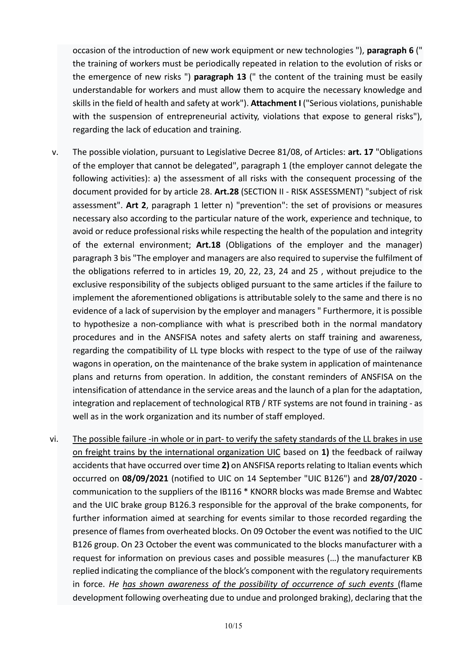occasion of the introduction of new work equipment or new technologies "), **paragraph 6** (" the training of workers must be periodically repeated in relation to the evolution of risks or the emergence of new risks ") **paragraph 13** (" the content of the training must be easily understandable for workers and must allow them to acquire the necessary knowledge and skills in the field of health and safety at work"). **Attachment I** ("Serious violations, punishable with the suspension of entrepreneurial activity, violations that expose to general risks"), regarding the lack of education and training.

- v. The possible violation, pursuant to Legislative Decree 81/08, of Articles: **art. 17** "Obligations of the employer that cannot be delegated", paragraph 1 (the employer cannot delegate the following activities): a) the assessment of all risks with the consequent processing of the document provided for by article 28. **Art.28** (SECTION II - RISK ASSESSMENT) "subject of risk assessment". **Art 2**, paragraph 1 letter n) "prevention": the set of provisions or measures necessary also according to the particular nature of the work, experience and technique, to avoid or reduce professional risks while respecting the health of the population and integrity of the external environment; **Art.18** (Obligations of the employer and the manager) paragraph 3 bis "The employer and managers are also required to supervise the fulfilment of the obligations referred to in articles 19, 20, 22, 23, 24 and 25 , without prejudice to the exclusive responsibility of the subjects obliged pursuant to the same articles if the failure to implement the aforementioned obligations is attributable solely to the same and there is no evidence of a lack of supervision by the employer and managers " Furthermore, it is possible to hypothesize a non-compliance with what is prescribed both in the normal mandatory procedures and in the ANSFISA notes and safety alerts on staff training and awareness, regarding the compatibility of LL type blocks with respect to the type of use of the railway wagons in operation, on the maintenance of the brake system in application of maintenance plans and returns from operation. In addition, the constant reminders of ANSFISA on the intensification of attendance in the service areas and the launch of a plan for the adaptation, integration and replacement of technological RTB / RTF systems are not found in training - as well as in the work organization and its number of staff employed.
- vi. The possible failure -in whole or in part- to verify the safety standards of the LL brakes in use on freight trains by the international organization UIC based on **1)** the feedback of railway accidents that have occurred over time **2)** on ANSFISA reports relating to Italian events which occurred on **08/09/2021** (notified to UIC on 14 September "UIC B126") and **28/07/2020** communication to the suppliers of the IB116 \* KNORR blocks was made Bremse and Wabtec and the UIC brake group B126.3 responsible for the approval of the brake components, for further information aimed at searching for events similar to those recorded regarding the presence of flames from overheated blocks. On 09 October the event was notified to the UIC B126 group. On 23 October the event was communicated to the blocks manufacturer with a request for information on previous cases and possible measures (…) the manufacturer KB replied indicating the compliance of the block's component with the regulatory requirements in force. *He has shown awareness of the possibility of occurrence of such events* (flame development following overheating due to undue and prolonged braking), declaring that the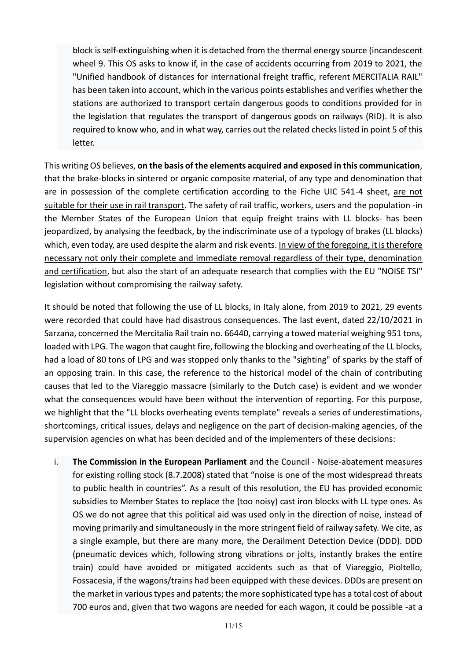block is self-extinguishing when it is detached from the thermal energy source (incandescent wheel 9. This OS asks to know if, in the case of accidents occurring from 2019 to 2021, the "Unified handbook of distances for international freight traffic, referent MERCITALIA RAIL" has been taken into account, which in the various points establishes and verifies whether the stations are authorized to transport certain dangerous goods to conditions provided for in the legislation that regulates the transport of dangerous goods on railways (RID). It is also required to know who, and in what way, carries out the related checks listed in point 5 of this letter.

This writing OS believes, **on the basis of the elements acquired and exposed in this communication**, that the brake-blocks in sintered or organic composite material, of any type and denomination that are in possession of the complete certification according to the Fiche UIC 541-4 sheet, are not suitable for their use in rail transport. The safety of rail traffic, workers, users and the population -in the Member States of the European Union that equip freight trains with LL blocks- has been jeopardized, by analysing the feedback, by the indiscriminate use of a typology of brakes (LL blocks) which, even today, are used despite the alarm and risk events. In view of the foregoing, it is therefore necessary not only their complete and immediate removal regardless of their type, denomination and certification, but also the start of an adequate research that complies with the EU "NOISE TSI" legislation without compromising the railway safety.

It should be noted that following the use of LL blocks, in Italy alone, from 2019 to 2021, 29 events were recorded that could have had disastrous consequences. The last event, dated 22/10/2021 in Sarzana, concerned the Mercitalia Rail train no. 66440, carrying a towed material weighing 951 tons, loaded with LPG. The wagon that caught fire, following the blocking and overheating of the LL blocks, had a load of 80 tons of LPG and was stopped only thanks to the "sighting" of sparks by the staff of an opposing train. In this case, the reference to the historical model of the chain of contributing causes that led to the Viareggio massacre (similarly to the Dutch case) is evident and we wonder what the consequences would have been without the intervention of reporting. For this purpose, we highlight that the "LL blocks overheating events template" reveals a series of underestimations, shortcomings, critical issues, delays and negligence on the part of decision-making agencies, of the supervision agencies on what has been decided and of the implementers of these decisions:

i. **The Commission in the European Parliament** and the Council - Noise-abatement measures for existing rolling stock (8.7.2008) stated that "noise is one of the most widespread threats to public health in countries". As a result of this resolution, the EU has provided economic subsidies to Member States to replace the (too noisy) cast iron blocks with LL type ones. As OS we do not agree that this political aid was used only in the direction of noise, instead of moving primarily and simultaneously in the more stringent field of railway safety. We cite, as a single example, but there are many more, the Derailment Detection Device (DDD). DDD (pneumatic devices which, following strong vibrations or jolts, instantly brakes the entire train) could have avoided or mitigated accidents such as that of Viareggio, Pioltello, Fossacesia, if the wagons/trains had been equipped with these devices. DDDs are present on the market in various types and patents; the more sophisticated type has a total cost of about 700 euros and, given that two wagons are needed for each wagon, it could be possible -at a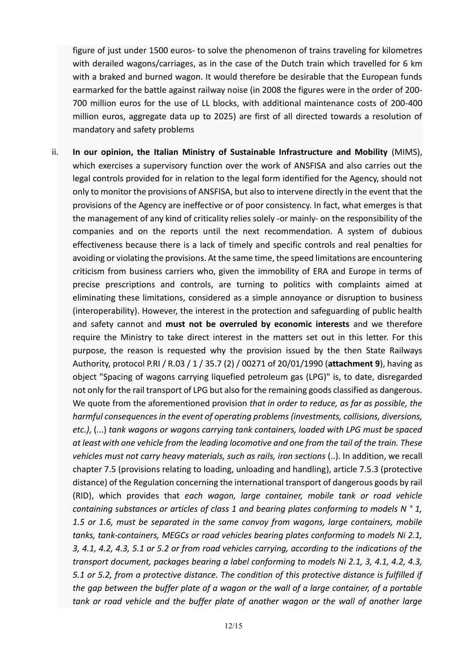figure of just under 1500 euros- to solve the phenomenon of trains traveling for kilometres with derailed wagons/carriages, as in the case of the Dutch train which travelled for 6 km with a braked and burned wagon. It would therefore be desirable that the European funds earmarked for the battle against railway noise (in 2008 the figures were in the order of 200- 700 million euros for the use of LL blocks, with additional maintenance costs of 200-400 million euros, aggregate data up to 2025) are first of all directed towards a resolution of mandatory and safety problems

ii. **In our opinion, the Italian Ministry of Sustainable Infrastructure and Mobility** (MIMS), which exercises a supervisory function over the work of ANSFISA and also carries out the legal controls provided for in relation to the legal form identified for the Agency, should not only to monitor the provisions of ANSFISA, but also to intervene directly in the event that the provisions of the Agency are ineffective or of poor consistency. In fact, what emerges is that the management of any kind of criticality relies solely -or mainly- on the responsibility of the companies and on the reports until the next recommendation. A system of dubious effectiveness because there is a lack of timely and specific controls and real penalties for avoiding or violating the provisions. At the same time, the speed limitations are encountering criticism from business carriers who, given the immobility of ERA and Europe in terms of precise prescriptions and controls, are turning to politics with complaints aimed at eliminating these limitations, considered as a simple annoyance or disruption to business (interoperability). However, the interest in the protection and safeguarding of public health and safety cannot and **must not be overruled by economic interests** and we therefore require the Ministry to take direct interest in the matters set out in this letter. For this purpose, the reason is requested why the provision issued by the then State Railways Authority, protocol P.RI / R.03 / 1 / 35.7 (2) / 00271 of 20/01/1990 (**attachment 9**), having as object "Spacing of wagons carrying liquefied petroleum gas (LPG)" is, to date, disregarded not only for the rail transport of LPG but also for the remaining goods classified as dangerous. We quote from the aforementioned provision *that in order to reduce, as far as possible, the harmful consequences in the event of operating problems (investments, collisions, diversions, etc.)*, (...) *tank wagons or wagons carrying tank containers, loaded with LPG must be spaced at least with one vehicle from the leading locomotive and one from the tail of the train. These vehicles must not carry heavy materials, such as rails, iron sections* (..). In addition, we recall chapter 7.5 (provisions relating to loading, unloading and handling), article 7.5.3 (protective distance) of the Regulation concerning the international transport of dangerous goods by rail (RID), which provides that *each wagon, large container, mobile tank or road vehicle containing substances or articles of class 1 and bearing plates conforming to models N ° 1, 1.5 or 1.6, must be separated in the same convoy from wagons, large containers, mobile tanks, tank-containers, MEGCs or road vehicles bearing plates conforming to models Ni 2.1, 3, 4.1, 4.2, 4.3, 5.1 or 5.2 or from road vehicles carrying, according to the indications of the transport document, packages bearing a label conforming to models Ni 2.1, 3, 4.1, 4.2, 4.3, 5.1 or 5.2, from a protective distance. The condition of this protective distance is fulfilled if the gap between the buffer plate of a wagon or the wall of a large container, of a portable tank or road vehicle and the buffer plate of another wagon or the wall of another large*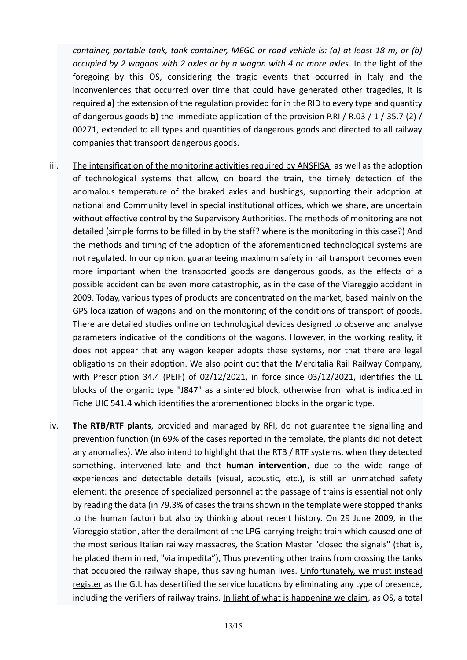*container, portable tank, tank container, MEGC or road vehicle is: (a) at least 18 m, or (b) occupied by 2 wagons with 2 axles or by a wagon with 4 or more axles*. In the light of the foregoing by this OS, considering the tragic events that occurred in Italy and the inconveniences that occurred over time that could have generated other tragedies, it is required **a)** the extension of the regulation provided for in the RID to every type and quantity of dangerous goods **b)** the immediate application of the provision P.RI / R.03 / 1 / 35.7 (2) / 00271, extended to all types and quantities of dangerous goods and directed to all railway companies that transport dangerous goods.

- iii. The intensification of the monitoring activities required by ANSFISA, as well as the adoption of technological systems that allow, on board the train, the timely detection of the anomalous temperature of the braked axles and bushings, supporting their adoption at national and Community level in special institutional offices, which we share, are uncertain without effective control by the Supervisory Authorities. The methods of monitoring are not detailed (simple forms to be filled in by the staff? where is the monitoring in this case?) And the methods and timing of the adoption of the aforementioned technological systems are not regulated. In our opinion, guaranteeing maximum safety in rail transport becomes even more important when the transported goods are dangerous goods, as the effects of a possible accident can be even more catastrophic, as in the case of the Viareggio accident in 2009. Today, various types of products are concentrated on the market, based mainly on the GPS localization of wagons and on the monitoring of the conditions of transport of goods. There are detailed studies online on technological devices designed to observe and analyse parameters indicative of the conditions of the wagons. However, in the working reality, it does not appear that any wagon keeper adopts these systems, nor that there are legal obligations on their adoption. We also point out that the Mercitalia Rail Railway Company, with Prescription 34.4 (PEIF) of 02/12/2021, in force since 03/12/2021, identifies the LL blocks of the organic type "J847" as a sintered block, otherwise from what is indicated in Fiche UIC 541.4 which identifies the aforementioned blocks in the organic type.
- iv. **The RTB/RTF plants**, provided and managed by RFI, do not guarantee the signalling and prevention function (in 69% of the cases reported in the template, the plants did not detect any anomalies). We also intend to highlight that the RTB / RTF systems, when they detected something, intervened late and that **human intervention**, due to the wide range of experiences and detectable details (visual, acoustic, etc.), is still an unmatched safety element: the presence of specialized personnel at the passage of trains is essential not only by reading the data (in 79.3% of cases the trains shown in the template were stopped thanks to the human factor) but also by thinking about recent history. On 29 June 2009, in the Viareggio station, after the derailment of the LPG-carrying freight train which caused one of the most serious Italian railway massacres, the Station Master "closed the signals" (that is, he placed them in red, "via impedita"), Thus preventing other trains from crossing the tanks that occupied the railway shape, thus saving human lives. Unfortunately, we must instead register as the G.I. has desertified the service locations by eliminating any type of presence, including the verifiers of railway trains. In light of what is happening we claim, as OS, a total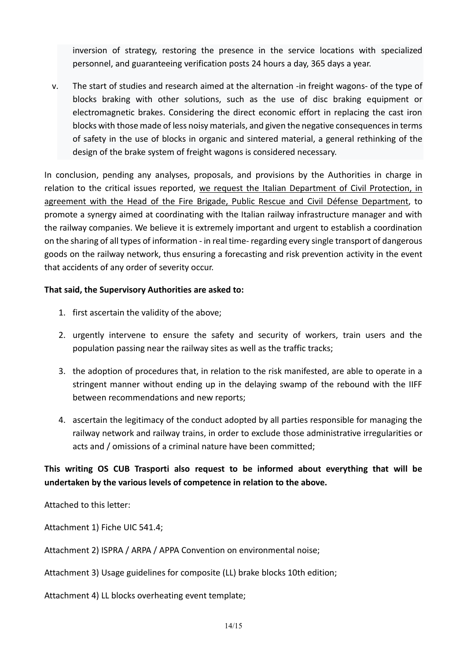inversion of strategy, restoring the presence in the service locations with specialized personnel, and guaranteeing verification posts 24 hours a day, 365 days a year.

v. The start of studies and research aimed at the alternation -in freight wagons- of the type of blocks braking with other solutions, such as the use of disc braking equipment or electromagnetic brakes. Considering the direct economic effort in replacing the cast iron blocks with those made of less noisy materials, and given the negative consequences in terms of safety in the use of blocks in organic and sintered material, a general rethinking of the design of the brake system of freight wagons is considered necessary.

In conclusion, pending any analyses, proposals, and provisions by the Authorities in charge in relation to the critical issues reported, we request the Italian Department of Civil Protection, in agreement with the Head of the Fire Brigade, Public Rescue and Civil Défense Department, to promote a synergy aimed at coordinating with the Italian railway infrastructure manager and with the railway companies. We believe it is extremely important and urgent to establish a coordination on the sharing of all types of information - in real time- regarding every single transport of dangerous goods on the railway network, thus ensuring a forecasting and risk prevention activity in the event that accidents of any order of severity occur.

### **That said, the Supervisory Authorities are asked to:**

- 1. first ascertain the validity of the above;
- 2. urgently intervene to ensure the safety and security of workers, train users and the population passing near the railway sites as well as the traffic tracks;
- 3. the adoption of procedures that, in relation to the risk manifested, are able to operate in a stringent manner without ending up in the delaying swamp of the rebound with the IIFF between recommendations and new reports;
- 4. ascertain the legitimacy of the conduct adopted by all parties responsible for managing the railway network and railway trains, in order to exclude those administrative irregularities or acts and / omissions of a criminal nature have been committed;

# **This writing OS CUB Trasporti also request to be informed about everything that will be undertaken by the various levels of competence in relation to the above.**

Attached to this letter:

Attachment 1) Fiche UIC 541.4;

Attachment 2) ISPRA / ARPA / APPA Convention on environmental noise;

Attachment 3) Usage guidelines for composite (LL) brake blocks 10th edition;

Attachment 4) LL blocks overheating event template;